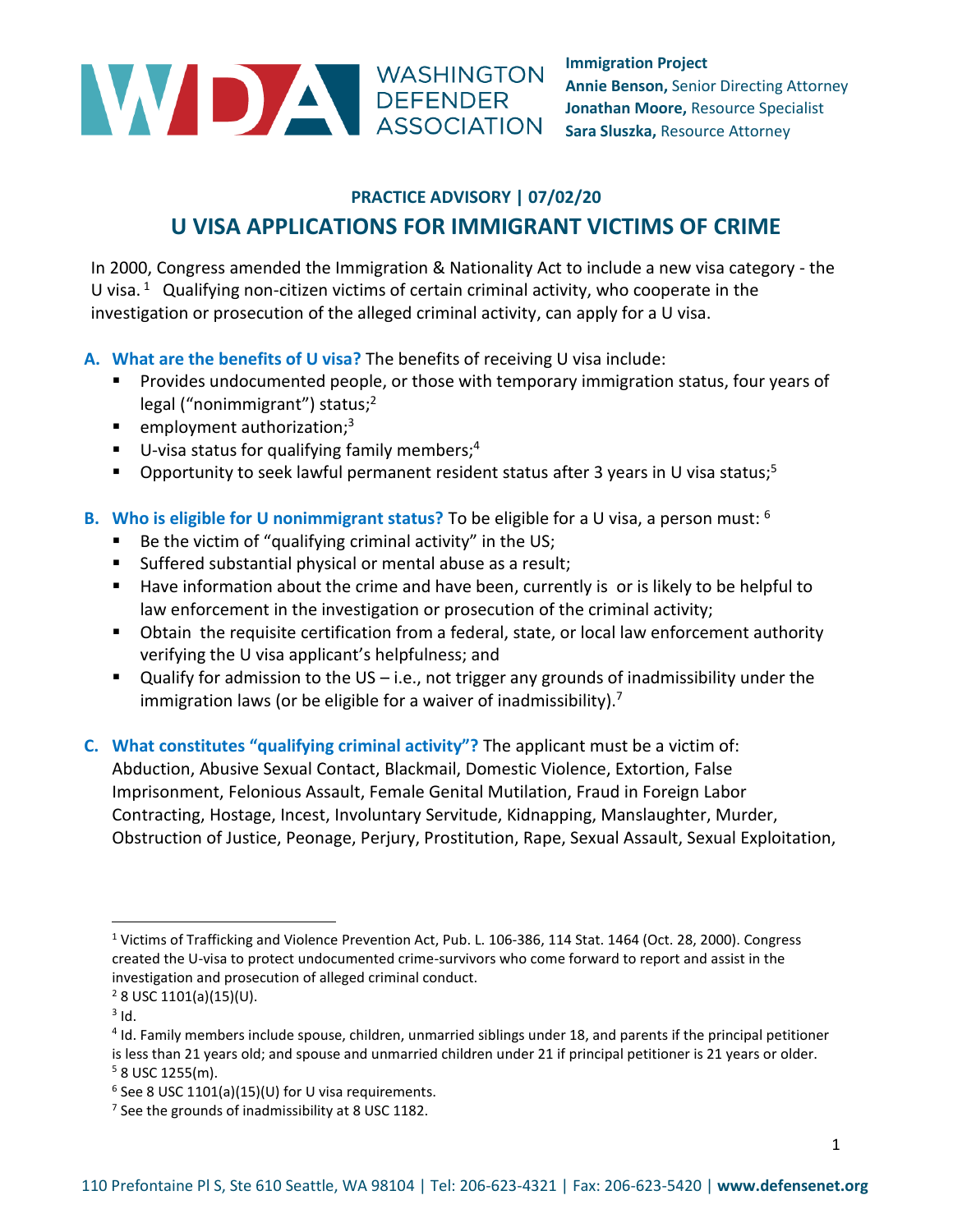

## **PRACTICE ADVISORY | 07/02/20 U VISA APPLICATIONS FOR IMMIGRANT VICTIMS OF CRIME**

In 2000, Congress amended the Immigration & Nationality Act to include a new visa category - the U visa.  $1$  Qualifying non-citizen victims of certain criminal activity, who cooperate in the investigation or prosecution of the alleged criminal activity, can apply for a U visa.

- **A. What are the benefits of U visa?** The benefits of receiving U visa include:
	- **Provides undocumented people, or those with temporary immigration status, four years of** legal ("nonimmigrant") status;<sup>2</sup>
	- **employment authorization;**<sup>3</sup>
	- $\blacksquare$  U-visa status for qualifying family members;<sup>4</sup>
	- Opportunity to seek lawful permanent resident status after 3 years in U visa status;<sup>5</sup>
- **B. Who is eligible for U nonimmigrant status?** To be eligible for a U visa, a person must: <sup>6</sup>
	- $\blacksquare$  Be the victim of "qualifying criminal activity" in the US;
	- Suffered substantial physical or mental abuse as a result;
	- Have information about the crime and have been, currently is or is likely to be helpful to law enforcement in the investigation or prosecution of the criminal activity;
	- Obtain the requisite certification from a federal, state, or local law enforcement authority verifying the U visa applicant's helpfulness; and
	- Qualify for admission to the US i.e., not trigger any grounds of inadmissibility under the immigration laws (or be eligible for a waiver of inadmissibility).<sup>7</sup>
- **C. What constitutes "qualifying criminal activity"?** The applicant must be a victim of: Abduction, Abusive Sexual Contact, Blackmail, Domestic Violence, Extortion, False Imprisonment, Felonious Assault, Female Genital Mutilation, Fraud in Foreign Labor Contracting, Hostage, Incest, Involuntary Servitude, Kidnapping, Manslaughter, Murder, Obstruction of Justice, Peonage, Perjury, Prostitution, Rape, Sexual Assault, Sexual Exploitation,

 $\overline{\phantom{a}}$ 

<sup>1</sup> Victims of Trafficking and Violence Prevention Act, Pub. L. 106-386, 114 Stat. 1464 (Oct. 28, 2000). Congress created the U-visa to protect undocumented crime-survivors who come forward to report and assist in the investigation and prosecution of alleged criminal conduct.

 $2$  8 USC 1101(a)(15)(U).

 $3$  Id.

<sup>&</sup>lt;sup>4</sup> Id. Family members include spouse, children, unmarried siblings under 18, and parents if the principal petitioner is less than 21 years old; and spouse and unmarried children under 21 if principal petitioner is 21 years or older.  $58$  USC 1255(m).

 $6$  See 8 USC 1101(a)(15)(U) for U visa requirements.

<sup>&</sup>lt;sup>7</sup> See the grounds of inadmissibility at 8 USC 1182.